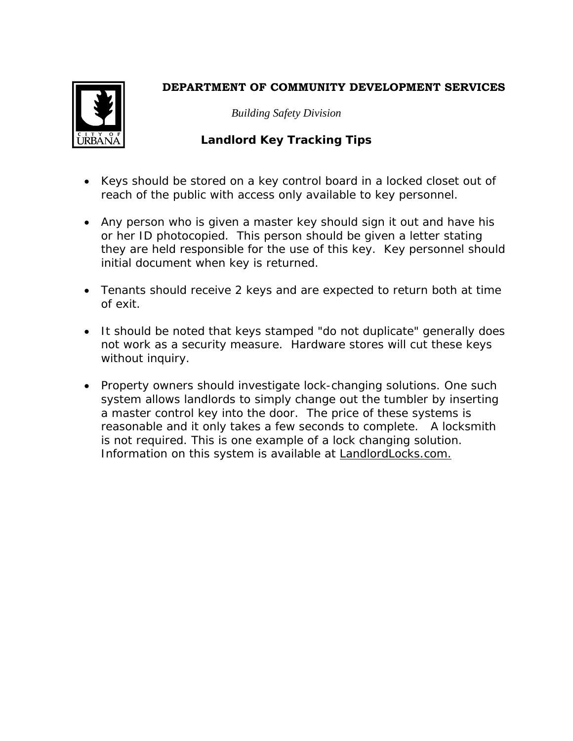## **DEPARTMENT OF COMMUNITY DEVELOPMENT SERVICES**



*Building Safety Division*

## **Landlord Key Tracking Tips**

- Keys should be stored on a key control board in a locked closet out of reach of the public with access only available to key personnel.
- Any person who is given a master key should sign it out and have his or her ID photocopied. This person should be given a letter stating they are held responsible for the use of this key. Key personnel should initial document when key is returned.
- Tenants should receive 2 keys and are expected to return both at time of exit.
- It should be noted that keys stamped "do not duplicate" generally does not work as a security measure. Hardware stores will cut these keys without inquiry.
- Property owners should investigate lock-changing solutions. One such system allows landlords to simply change out the tumbler by inserting a master control key into the door. The price of these systems is reasonable and it only takes a few seconds to complete. A locksmith is not required. This is one example of a lock changing solution. Information on this system is available at LandlordLocks.com.